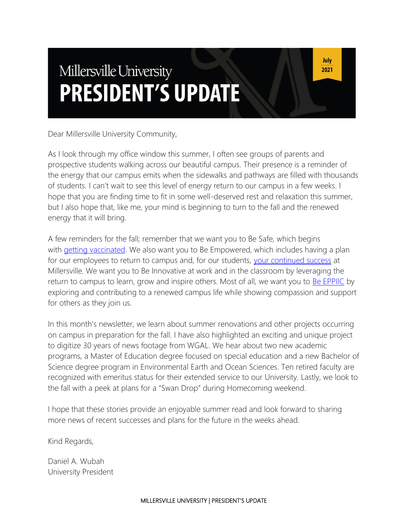# Millersville University **PRESIDENT'S UPDATE**

Dear Millersville University Community,

As I look through my office window this summer, I often see groups of parents and prospective students walking across our beautiful campus. Their presence is a reminder of the energy that our campus emits when the sidewalks and pathways are filled with thousands of students. I can't wait to see this level of energy return to our campus in a few weeks. I hope that you are finding time to fit in some well-deserved rest and relaxation this summer, but I also hope that, like me, your mind is beginning to turn to the fall and the renewed energy that it will bring.

A few reminders for the fall; remember that we want you to Be Safe, which begins with [getting vaccinated.](https://www.millersville.edu/coronavirus/vaccination.php) We also want you to Be Empowered, which includes having a plan for our employees to return to campus and, for our students, [your continued success](https://www.millersville.edu/dssap/student-success-network/index.php) at Millersville. We want you to Be Innovative at work and in the classroom by leveraging the return to campus to learn, grow and inspire others. Most of all, we want you to **[Be EPPIIC](https://www.millersville.edu/about/eppiic-values.php)** by exploring and contributing to a renewed campus life while showing compassion and support for others as they join us.

In this month's newsletter, we learn about summer renovations and other projects occurring on campus in preparation for the fall. I have also highlighted an exciting and unique project to digitize 30 years of news footage from WGAL. We hear about two new academic programs, a Master of Education degree focused on special education and a new Bachelor of Science degree program in Environmental Earth and Ocean Sciences. Ten retired faculty are recognized with emeritus status for their extended service to our University. Lastly, we look to the fall with a peek at plans for a "Swan Drop" during Homecoming weekend.

I hope that these stories provide an enjoyable summer read and look forward to sharing more news of recent successes and plans for the future in the weeks ahead.

Kind Regards,

Daniel A. Wubah University President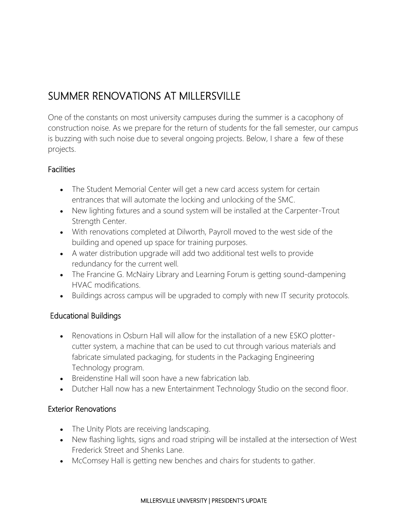# SUMMER RENOVATIONS AT MILLERSVILLE

One of the constants on most university campuses during the summer is a cacophony of construction noise. As we prepare for the return of students for the fall semester, our campus is buzzing with such noise due to several ongoing projects. Below, I share a few of these projects.

#### **Facilities**

- The Student Memorial Center will get a new card access system for certain entrances that will automate the locking and unlocking of the SMC.
- New lighting fixtures and a sound system will be installed at the Carpenter-Trout Strength Center.
- With renovations completed at Dilworth, Payroll moved to the west side of the building and opened up space for training purposes.
- A water distribution upgrade will add two additional test wells to provide redundancy for the current well.
- The Francine G. McNairy Library and Learning Forum is getting sound-dampening HVAC modifications.
- Buildings across campus will be upgraded to comply with new IT security protocols.

#### Educational Buildings

- Renovations in Osburn Hall will allow for the installation of a new ESKO plottercutter system, a machine that can be used to cut through various materials and fabricate simulated packaging, for students in the Packaging Engineering Technology program.
- Breidenstine Hall will soon have a new fabrication lab.
- Dutcher Hall now has a new Entertainment Technology Studio on the second floor.

#### Exterior Renovations

- The Unity Plots are receiving landscaping.
- New flashing lights, signs and road striping will be installed at the intersection of West Frederick Street and Shenks Lane.
- McComsey Hall is getting new benches and chairs for students to gather.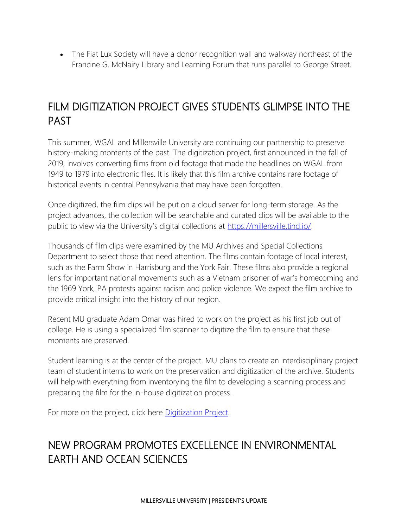• The Fiat Lux Society will have a donor recognition wall and walkway northeast of the Francine G. McNairy Library and Learning Forum that runs parallel to George Street.

# FILM DIGITIZATION PROJECT GIVES STUDENTS GLIMPSE INTO THE PAST

This summer, WGAL and Millersville University are continuing our partnership to preserve history-making moments of the past. The digitization project, first announced in the fall of 2019, involves converting films from old footage that made the headlines on WGAL from 1949 to 1979 into electronic files. It is likely that this film archive contains rare footage of historical events in central Pennsylvania that may have been forgotten.

Once digitized, the film clips will be put on a cloud server for long-term storage. As the project advances, the collection will be searchable and curated clips will be available to the public to view via the University's digital collections at [https://millersville.tind.io/.](https://millersville.tind.io/)

Thousands of film clips were examined by the MU Archives and Special Collections Department to select those that need attention. The films contain footage of local interest, such as the Farm Show in Harrisburg and the York Fair. These films also provide a regional lens for important national movements such as a Vietnam prisoner of war's homecoming and the 1969 York, PA protests against racism and police violence. We expect the film archive to provide critical insight into the history of our region.

Recent MU graduate Adam Omar was hired to work on the project as his first job out of college. He is using a specialized film scanner to digitize the film to ensure that these moments are preserved.

Student learning is at the center of the project. MU plans to create an interdisciplinary project team of student interns to work on the preservation and digitization of the archive. Students will help with everything from inventorying the film to developing a scanning process and preparing the film for the in-house digitization process.

For more on the project, click here **Digitization Project**.

# NEW PROGRAM PROMOTES EXCELLENCE IN ENVIRONMENTAL EARTH AND OCEAN SCIENCES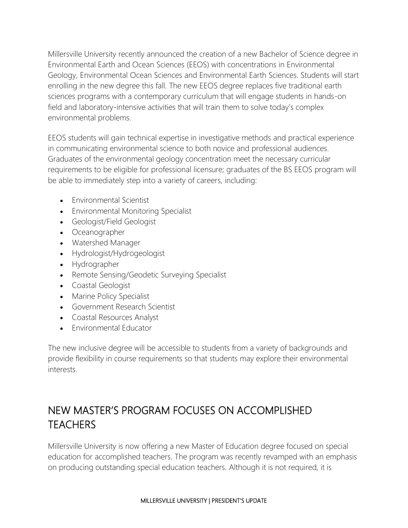Millersville University recently announced the creation of a new Bachelor of Science degree in Environmental Earth and Ocean Sciences (EEOS) with concentrations in Environmental Geology, Environmental Ocean Sciences and Environmental Earth Sciences. Students will start enrolling in the new degree this fall. The new EEOS degree replaces five traditional earth sciences programs with a contemporary curriculum that will engage students in hands-on field and laboratory-intensive activities that will train them to solve today's complex environmental problems.

EEOS students will gain technical expertise in investigative methods and practical experience in communicating environmental science to both novice and professional audiences. Graduates of the environmental geology concentration meet the necessary curricular requirements to be eligible for professional licensure; graduates of the BS EEOS program will be able to immediately step into a variety of careers, including:

- Environmental Scientist
- Environmental Monitoring Specialist
- Geologist/Field Geologist
- Oceanographer
- Watershed Manager
- Hydrologist/Hydrogeologist
- Hydrographer
- Remote Sensing/Geodetic Surveying Specialist
- Coastal Geologist
- Marine Policy Specialist
- Government Research Scientist
- Coastal Resources Analyst
- Environmental Educator

The new inclusive degree will be accessible to students from a variety of backgrounds and provide flexibility in course requirements so that students may explore their environmental interests.

# NEW MASTER'S PROGRAM FOCUSES ON ACCOMPLISHED **TEACHERS**

Millersville University is now offering a new Master of Education degree focused on special education for accomplished teachers. The program was recently revamped with an emphasis on producing outstanding special education teachers. Although it is not required, it is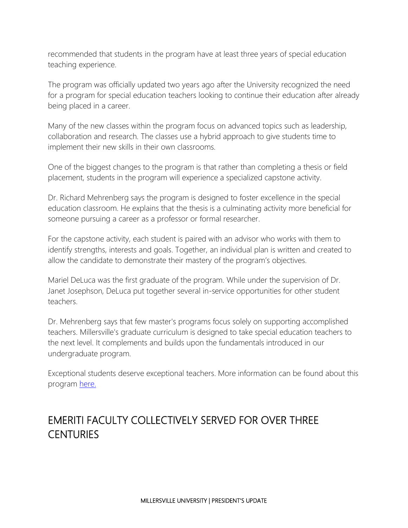recommended that students in the program have at least three years of special education teaching experience.

The program was officially updated two years ago after the University recognized the need for a program for special education teachers looking to continue their education after already being placed in a career.

Many of the new classes within the program focus on advanced topics such as leadership, collaboration and research. The classes use a hybrid approach to give students time to implement their new skills in their own classrooms.

One of the biggest changes to the program is that rather than completing a thesis or field placement, students in the program will experience a specialized capstone activity.

Dr. Richard Mehrenberg says the program is designed to foster excellence in the special education classroom. He explains that the thesis is a culminating activity more beneficial for someone pursuing a career as a professor or formal researcher.

For the capstone activity, each student is paired with an advisor who works with them to identify strengths, interests and goals. Together, an individual plan is written and created to allow the candidate to demonstrate their mastery of the program's objectives.

Mariel DeLuca was the first graduate of the program. While under the supervision of Dr. Janet Josephson, DeLuca put together several in-service opportunities for other student teachers.

Dr. Mehrenberg says that few master's programs focus solely on supporting accomplished teachers. Millersville's graduate curriculum is designed to take special education teachers to the next level. It complements and builds upon the fundamentals introduced in our undergraduate program.

Exceptional students deserve exceptional teachers. More information can be found about this program [here.](https://www.millersville.edu/programs/special-education-grad.php)

# EMERITI FACULTY COLLECTIVELY SERVED FOR OVER THREE **CENTURIES**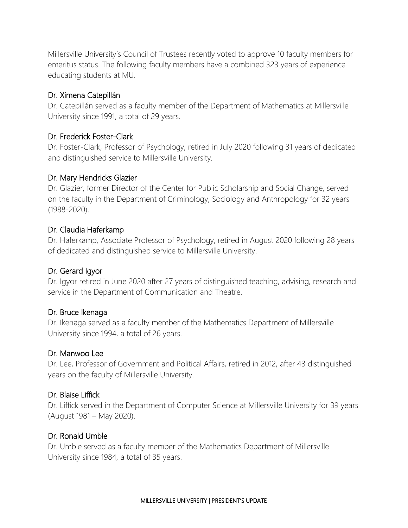Millersville University's Council of Trustees recently voted to approve 10 faculty members for emeritus status. The following faculty members have a combined 323 years of experience educating students at MU.

#### Dr. Ximena Catepillán

Dr. Catepillán served as a faculty member of the Department of Mathematics at Millersville University since 1991, a total of 29 years.

#### Dr. Frederick Foster-Clark

Dr. Foster-Clark, Professor of Psychology, retired in July 2020 following 31 years of dedicated and distinguished service to Millersville University.

#### Dr. Mary Hendricks Glazier

Dr. Glazier, former Director of the Center for Public Scholarship and Social Change, served on the faculty in the Department of Criminology, Sociology and Anthropology for 32 years (1988-2020).

#### Dr. Claudia Haferkamp

Dr. Haferkamp, Associate Professor of Psychology, retired in August 2020 following 28 years of dedicated and distinguished service to Millersville University.

#### Dr. Gerard Igyor

Dr. Igyor retired in June 2020 after 27 years of distinguished teaching, advising, research and service in the Department of Communication and Theatre.

#### Dr. Bruce Ikenaga

Dr. Ikenaga served as a faculty member of the Mathematics Department of Millersville University since 1994, a total of 26 years.

#### Dr. Manwoo Lee

Dr. Lee, Professor of Government and Political Affairs, retired in 2012, after 43 distinguished years on the faculty of Millersville University.

#### Dr. Blaise Liffick

Dr. Liffick served in the Department of Computer Science at Millersville University for 39 years (August 1981 – May 2020).

#### Dr. Ronald Umble

Dr. Umble served as a faculty member of the Mathematics Department of Millersville University since 1984, a total of 35 years.